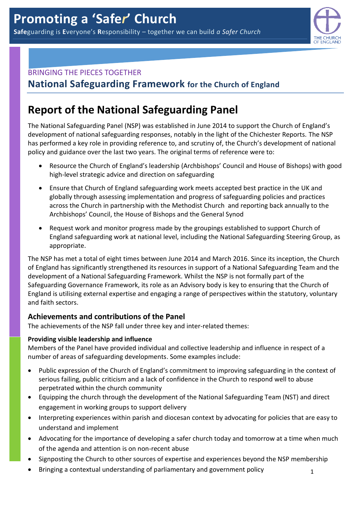

## BRINGING THE PIECES TOGETHER

**National Safeguarding Framework for the Church of England**

# **Report of the National Safeguarding Panel**

The National Safeguarding Panel (NSP) was established in June 2014 to support the Church of England's development of national safeguarding responses, notably in the light of the Chichester Reports. The NSP has performed a key role in providing reference to, and scrutiny of, the Church's development of national policy and guidance over the last two years. The original terms of reference were to:

- Resource the Church of England's leadership (Archbishops' Council and House of Bishops) with good high-level strategic advice and direction on safeguarding
- Ensure that Church of England safeguarding work meets accepted best practice in the UK and globally through assessing implementation and progress of safeguarding policies and practices across the Church in partnership with the Methodist Church and reporting back annually to the Archbishops' Council, the House of Bishops and the General Synod
- Request work and monitor progress made by the groupings established to support Church of England safeguarding work at national level, including the National Safeguarding Steering Group, as appropriate.

The NSP has met a total of eight times between June 2014 and March 2016. Since its inception, the Church of England has significantly strengthened its resources in support of a National Safeguarding Team and the development of a National Safeguarding Framework. Whilst the NSP is not formally part of the Safeguarding Governance Framework, its role as an Advisory body is key to ensuring that the Church of England is utilising external expertise and engaging a range of perspectives within the statutory, voluntary and faith sectors.

## **Achievements and contributions of the Panel**

The achievements of the NSP fall under three key and inter-related themes:

## **Providing visible leadership and influence**

Members of the Panel have provided individual and collective leadership and influence in respect of a number of areas of safeguarding developments. Some examples include:

- Public expression of the Church of England's commitment to improving safeguarding in the context of serious failing, public criticism and a lack of confidence in the Church to respond well to abuse perpetrated within the church community
- Equipping the church through the development of the National Safeguarding Team (NST) and direct engagement in working groups to support delivery
- Interpreting experiences within parish and diocesan context by advocating for policies that are easy to understand and implement
- Advocating for the importance of developing a safer church today and tomorrow at a time when much of the agenda and attention is on non-recent abuse
- Signposting the Church to other sources of expertise and experiences beyond the NSP membership
- Bringing a contextual understanding of parliamentary and government policy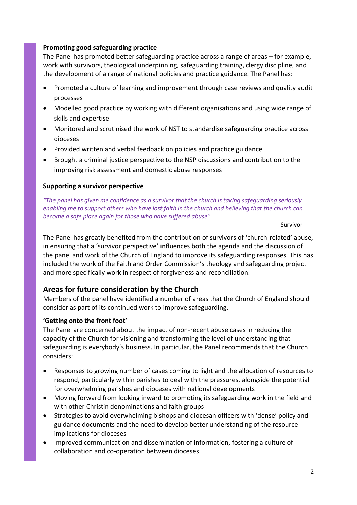#### **Promoting good safeguarding practice**

The Panel has promoted better safeguarding practice across a range of areas – for example, work with survivors, theological underpinning, safeguarding training, clergy discipline, and the development of a range of national policies and practice guidance. The Panel has:

- Promoted a culture of learning and improvement through case reviews and quality audit processes
- Modelled good practice by working with different organisations and using wide range of skills and expertise
- Monitored and scrutinised the work of NST to standardise safeguarding practice across dioceses
- Provided written and verbal feedback on policies and practice guidance
- Brought a criminal justice perspective to the NSP discussions and contribution to the improving risk assessment and domestic abuse responses

#### **Supporting a survivor perspective**

*"The panel has given me confidence as a survivor that the church is taking safeguarding seriously enabling me to support others who have lost faith in the church and believing that the church can become a safe place again for those who have suffered abuse"*

Survivor

The Panel has greatly benefited from the contribution of survivors of 'church-related' abuse, in ensuring that a 'survivor perspective' influences both the agenda and the discussion of the panel and work of the Church of England to improve its safeguarding responses. This has included the work of the Faith and Order Commission's theology and safeguarding project and more specifically work in respect of forgiveness and reconciliation.

## **Areas for future consideration by the Church**

Members of the panel have identified a number of areas that the Church of England should consider as part of its continued work to improve safeguarding.

#### **'Getting onto the front foot'**

The Panel are concerned about the impact of non-recent abuse cases in reducing the capacity of the Church for visioning and transforming the level of understanding that safeguarding is everybody's business. In particular, the Panel recommends that the Church considers:

- Responses to growing number of cases coming to light and the allocation of resources to respond, particularly within parishes to deal with the pressures, alongside the potential for overwhelming parishes and dioceses with national developments
- Moving forward from looking inward to promoting its safeguarding work in the field and with other Christin denominations and faith groups
- Strategies to avoid overwhelming bishops and diocesan officers with 'dense' policy and guidance documents and the need to develop better understanding of the resource implications for dioceses
- Improved communication and dissemination of information, fostering a culture of collaboration and co-operation between dioceses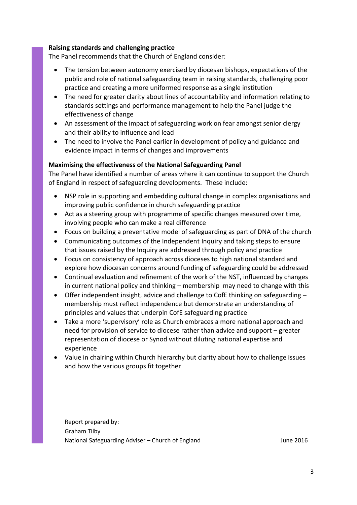#### **Raising standards and challenging practice**

The Panel recommends that the Church of England consider:

- The tension between autonomy exercised by diocesan bishops, expectations of the public and role of national safeguarding team in raising standards, challenging poor practice and creating a more uniformed response as a single institution
- The need for greater clarity about lines of accountability and information relating to standards settings and performance management to help the Panel judge the effectiveness of change
- An assessment of the impact of safeguarding work on fear amongst senior clergy and their ability to influence and lead
- The need to involve the Panel earlier in development of policy and guidance and evidence impact in terms of changes and improvements

#### **Maximising the effectiveness of the National Safeguarding Panel**

The Panel have identified a number of areas where it can continue to support the Church of England in respect of safeguarding developments. These include:

- NSP role in supporting and embedding cultural change in complex organisations and improving public confidence in church safeguarding practice
- Act as a steering group with programme of specific changes measured over time, involving people who can make a real difference
- Focus on building a preventative model of safeguarding as part of DNA of the church
- Communicating outcomes of the Independent Inquiry and taking steps to ensure that issues raised by the Inquiry are addressed through policy and practice
- Focus on consistency of approach across dioceses to high national standard and explore how diocesan concerns around funding of safeguarding could be addressed
- Continual evaluation and refinement of the work of the NST, influenced by changes in current national policy and thinking – membership may need to change with this
- Offer independent insight, advice and challenge to CofE thinking on safeguarding membership must reflect independence but demonstrate an understanding of principles and values that underpin CofE safeguarding practice
- Take a more 'supervisory' role as Church embraces a more national approach and need for provision of service to diocese rather than advice and support – greater representation of diocese or Synod without diluting national expertise and experience
- Value in chairing within Church hierarchy but clarity about how to challenge issues and how the various groups fit together

Report prepared by: Graham Tilby National Safeguarding Adviser – Church of England June 2016